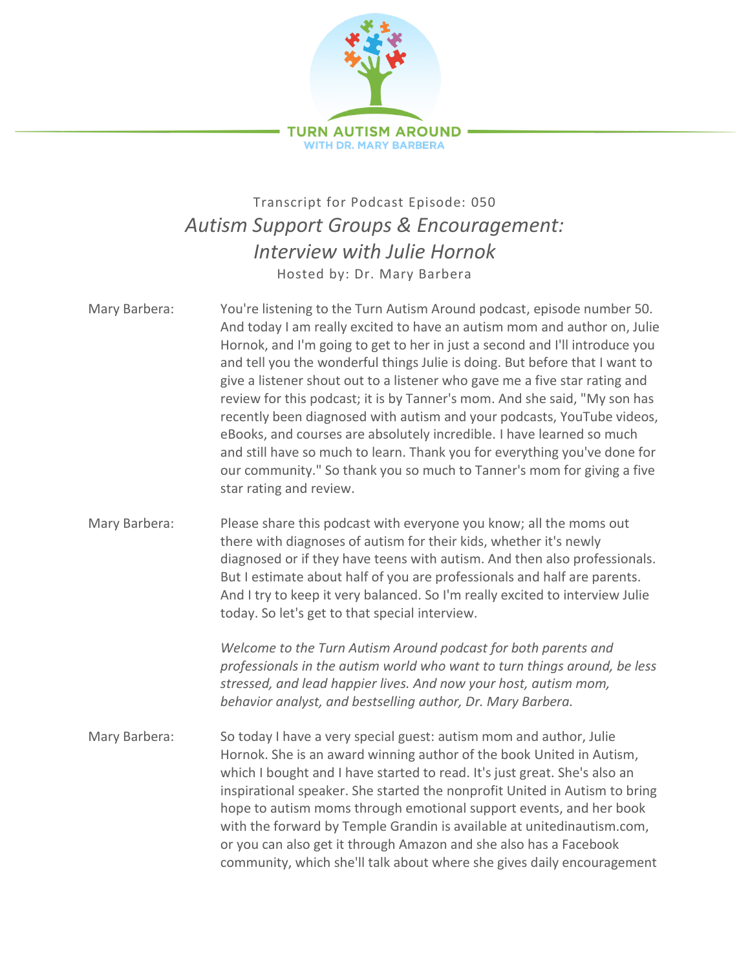

## Transcript for Podcast Episode: 050 *Autism Support Groups & Encouragement: Interview with Julie Hornok* Hosted by: Dr. Mary Barbera

Mary Barbera: You're listening to the Turn Autism Around podcast, episode number 50. And today I am really excited to have an autism mom and author on, Julie Hornok, and I'm going to get to her in just a second and I'll introduce you and tell you the wonderful things Julie is doing. But before that I want to give a listener shout out to a listener who gave me a five star rating and review for this podcast; it is by Tanner's mom. And she said, "My son has recently been diagnosed with autism and your podcasts, YouTube videos, eBooks, and courses are absolutely incredible. I have learned so much and still have so much to learn. Thank you for everything you've done for our community." So thank you so much to Tanner's mom for giving a five star rating and review. Mary Barbera: Please share this podcast with everyone you know; all the moms out there with diagnoses of autism for their kids, whether it's newly diagnosed or if they have teens with autism. And then also professionals. But I estimate about half of you are professionals and half are parents. And I try to keep it very balanced. So I'm really excited to interview Julie today. So let's get to that special interview.

> *Welcome to the Turn Autism Around podcast for both parents and professionals in the autism world who want to turn things around, be less stressed, and lead happier lives. And now your host, autism mom, behavior analyst, and bestselling author, Dr. Mary Barbera.*

Mary Barbera: So today I have a very special guest: autism mom and author, Julie Hornok. She is an award winning author of the book United in Autism, which I bought and I have started to read. It's just great. She's also an inspirational speaker. She started the nonprofit United in Autism to bring hope to autism moms through emotional support events, and her book with the forward by Temple Grandin is available at unitedinautism.com, or you can also get it through Amazon and she also has a Facebook community, which she'll talk about where she gives daily encouragement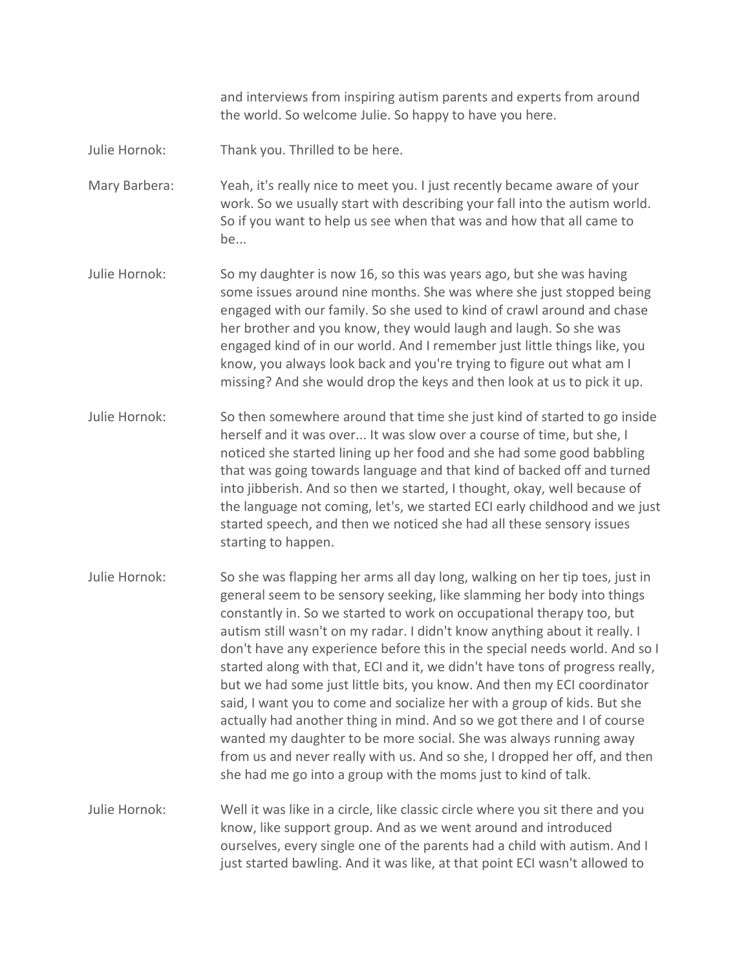and interviews from inspiring autism parents and experts from around the world. So welcome Julie. So happy to have you here.

Julie Hornok: Thank you. Thrilled to be here.

Mary Barbera: Yeah, it's really nice to meet you. I just recently became aware of your work. So we usually start with describing your fall into the autism world. So if you want to help us see when that was and how that all came to be...

- Julie Hornok: So my daughter is now 16, so this was years ago, but she was having some issues around nine months. She was where she just stopped being engaged with our family. So she used to kind of crawl around and chase her brother and you know, they would laugh and laugh. So she was engaged kind of in our world. And I remember just little things like, you know, you always look back and you're trying to figure out what am I missing? And she would drop the keys and then look at us to pick it up.
- Julie Hornok: So then somewhere around that time she just kind of started to go inside herself and it was over... It was slow over a course of time, but she, I noticed she started lining up her food and she had some good babbling that was going towards language and that kind of backed off and turned into jibberish. And so then we started, I thought, okay, well because of the language not coming, let's, we started ECI early childhood and we just started speech, and then we noticed she had all these sensory issues starting to happen.
- Julie Hornok: So she was flapping her arms all day long, walking on her tip toes, just in general seem to be sensory seeking, like slamming her body into things constantly in. So we started to work on occupational therapy too, but autism still wasn't on my radar. I didn't know anything about it really. I don't have any experience before this in the special needs world. And so I started along with that, ECI and it, we didn't have tons of progress really, but we had some just little bits, you know. And then my ECI coordinator said, I want you to come and socialize her with a group of kids. But she actually had another thing in mind. And so we got there and I of course wanted my daughter to be more social. She was always running away from us and never really with us. And so she, I dropped her off, and then she had me go into a group with the moms just to kind of talk.

Julie Hornok: Well it was like in a circle, like classic circle where you sit there and you know, like support group. And as we went around and introduced ourselves, every single one of the parents had a child with autism. And I just started bawling. And it was like, at that point ECI wasn't allowed to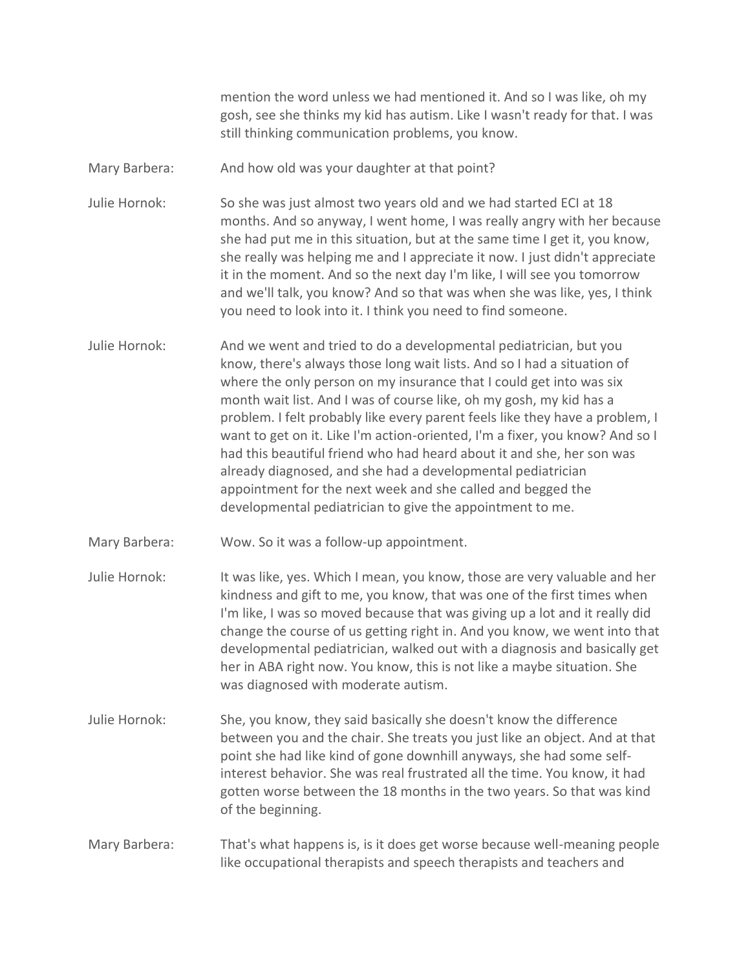mention the word unless we had mentioned it. And so I was like, oh my gosh, see she thinks my kid has autism. Like I wasn't ready for that. I was still thinking communication problems, you know.

Mary Barbera: And how old was your daughter at that point?

Julie Hornok: So she was just almost two years old and we had started ECI at 18 months. And so anyway, I went home, I was really angry with her because she had put me in this situation, but at the same time I get it, you know, she really was helping me and I appreciate it now. I just didn't appreciate it in the moment. And so the next day I'm like, I will see you tomorrow and we'll talk, you know? And so that was when she was like, yes, I think you need to look into it. I think you need to find someone.

- Julie Hornok: And we went and tried to do a developmental pediatrician, but you know, there's always those long wait lists. And so I had a situation of where the only person on my insurance that I could get into was six month wait list. And I was of course like, oh my gosh, my kid has a problem. I felt probably like every parent feels like they have a problem, I want to get on it. Like I'm action-oriented, I'm a fixer, you know? And so I had this beautiful friend who had heard about it and she, her son was already diagnosed, and she had a developmental pediatrician appointment for the next week and she called and begged the developmental pediatrician to give the appointment to me.
- Mary Barbera: Wow. So it was a follow-up appointment.
- Julie Hornok: It was like, yes. Which I mean, you know, those are very valuable and her kindness and gift to me, you know, that was one of the first times when I'm like, I was so moved because that was giving up a lot and it really did change the course of us getting right in. And you know, we went into that developmental pediatrician, walked out with a diagnosis and basically get her in ABA right now. You know, this is not like a maybe situation. She was diagnosed with moderate autism.
- Julie Hornok: She, you know, they said basically she doesn't know the difference between you and the chair. She treats you just like an object. And at that point she had like kind of gone downhill anyways, she had some selfinterest behavior. She was real frustrated all the time. You know, it had gotten worse between the 18 months in the two years. So that was kind of the beginning.
- Mary Barbera: That's what happens is, is it does get worse because well-meaning people like occupational therapists and speech therapists and teachers and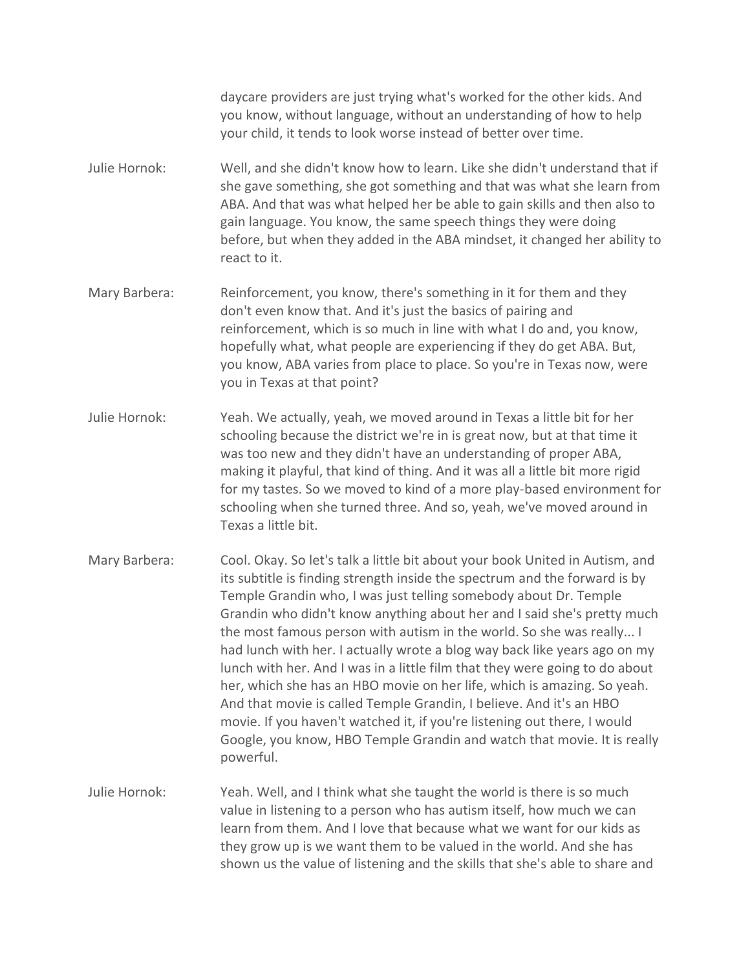daycare providers are just trying what's worked for the other kids. And you know, without language, without an understanding of how to help your child, it tends to look worse instead of better over time.

- Julie Hornok: Well, and she didn't know how to learn. Like she didn't understand that if she gave something, she got something and that was what she learn from ABA. And that was what helped her be able to gain skills and then also to gain language. You know, the same speech things they were doing before, but when they added in the ABA mindset, it changed her ability to react to it.
- Mary Barbera: Reinforcement, you know, there's something in it for them and they don't even know that. And it's just the basics of pairing and reinforcement, which is so much in line with what I do and, you know, hopefully what, what people are experiencing if they do get ABA. But, you know, ABA varies from place to place. So you're in Texas now, were you in Texas at that point?
- Julie Hornok: Yeah. We actually, yeah, we moved around in Texas a little bit for her schooling because the district we're in is great now, but at that time it was too new and they didn't have an understanding of proper ABA, making it playful, that kind of thing. And it was all a little bit more rigid for my tastes. So we moved to kind of a more play-based environment for schooling when she turned three. And so, yeah, we've moved around in Texas a little bit.
- Mary Barbera: Cool. Okay. So let's talk a little bit about your book United in Autism, and its subtitle is finding strength inside the spectrum and the forward is by Temple Grandin who, I was just telling somebody about Dr. Temple Grandin who didn't know anything about her and I said she's pretty much the most famous person with autism in the world. So she was really... I had lunch with her. I actually wrote a blog way back like years ago on my lunch with her. And I was in a little film that they were going to do about her, which she has an HBO movie on her life, which is amazing. So yeah. And that movie is called Temple Grandin, I believe. And it's an HBO movie. If you haven't watched it, if you're listening out there, I would Google, you know, HBO Temple Grandin and watch that movie. It is really powerful.
- Julie Hornok: Yeah. Well, and I think what she taught the world is there is so much value in listening to a person who has autism itself, how much we can learn from them. And I love that because what we want for our kids as they grow up is we want them to be valued in the world. And she has shown us the value of listening and the skills that she's able to share and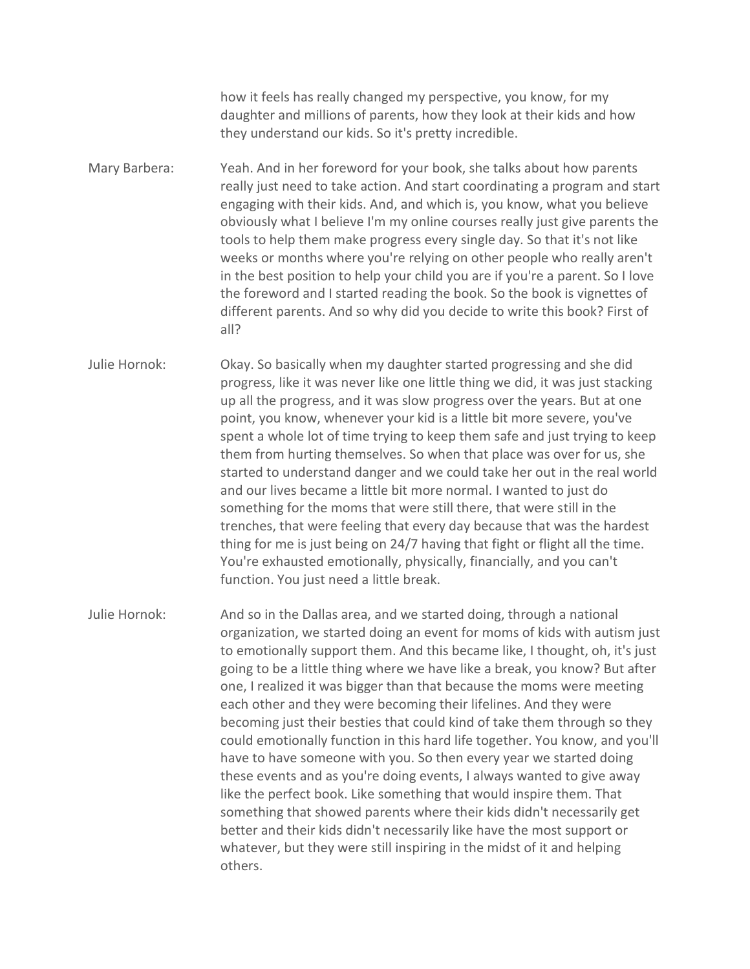how it feels has really changed my perspective, you know, for my daughter and millions of parents, how they look at their kids and how they understand our kids. So it's pretty incredible.

Mary Barbera: Yeah. And in her foreword for your book, she talks about how parents really just need to take action. And start coordinating a program and start engaging with their kids. And, and which is, you know, what you believe obviously what I believe I'm my online courses really just give parents the tools to help them make progress every single day. So that it's not like weeks or months where you're relying on other people who really aren't in the best position to help your child you are if you're a parent. So I love the foreword and I started reading the book. So the book is vignettes of different parents. And so why did you decide to write this book? First of all?

Julie Hornok: Okay. So basically when my daughter started progressing and she did progress, like it was never like one little thing we did, it was just stacking up all the progress, and it was slow progress over the years. But at one point, you know, whenever your kid is a little bit more severe, you've spent a whole lot of time trying to keep them safe and just trying to keep them from hurting themselves. So when that place was over for us, she started to understand danger and we could take her out in the real world and our lives became a little bit more normal. I wanted to just do something for the moms that were still there, that were still in the trenches, that were feeling that every day because that was the hardest thing for me is just being on 24/7 having that fight or flight all the time. You're exhausted emotionally, physically, financially, and you can't function. You just need a little break.

Julie Hornok: And so in the Dallas area, and we started doing, through a national organization, we started doing an event for moms of kids with autism just to emotionally support them. And this became like, I thought, oh, it's just going to be a little thing where we have like a break, you know? But after one, I realized it was bigger than that because the moms were meeting each other and they were becoming their lifelines. And they were becoming just their besties that could kind of take them through so they could emotionally function in this hard life together. You know, and you'll have to have someone with you. So then every year we started doing these events and as you're doing events, I always wanted to give away like the perfect book. Like something that would inspire them. That something that showed parents where their kids didn't necessarily get better and their kids didn't necessarily like have the most support or whatever, but they were still inspiring in the midst of it and helping others.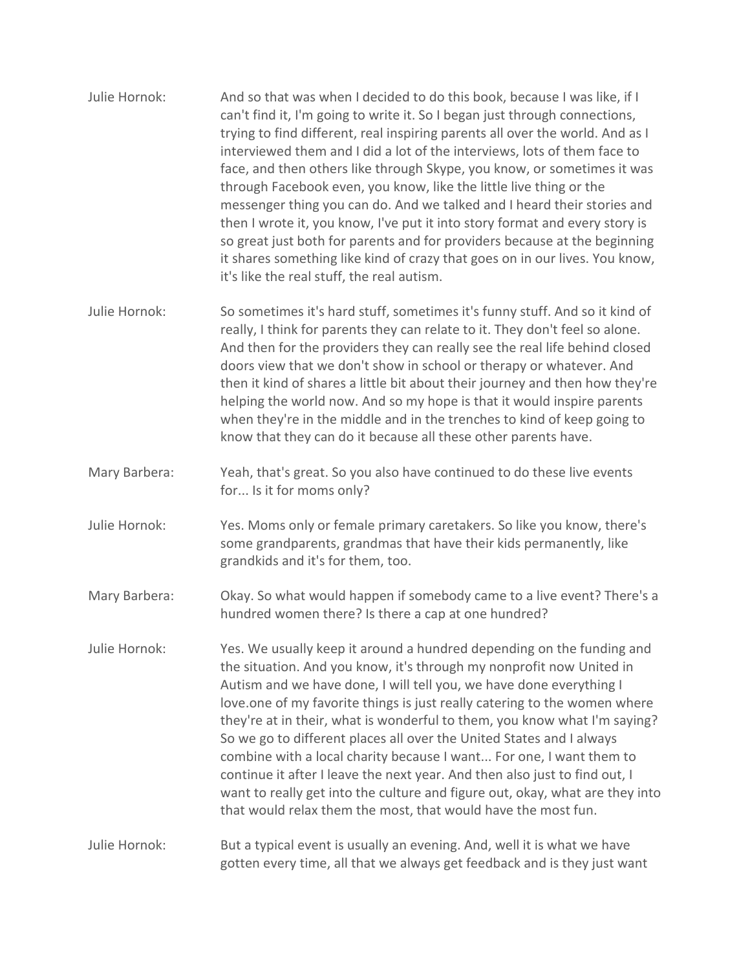- Julie Hornok: And so that was when I decided to do this book, because I was like, if I can't find it, I'm going to write it. So I began just through connections, trying to find different, real inspiring parents all over the world. And as I interviewed them and I did a lot of the interviews, lots of them face to face, and then others like through Skype, you know, or sometimes it was through Facebook even, you know, like the little live thing or the messenger thing you can do. And we talked and I heard their stories and then I wrote it, you know, I've put it into story format and every story is so great just both for parents and for providers because at the beginning it shares something like kind of crazy that goes on in our lives. You know, it's like the real stuff, the real autism.
- Julie Hornok: So sometimes it's hard stuff, sometimes it's funny stuff. And so it kind of really, I think for parents they can relate to it. They don't feel so alone. And then for the providers they can really see the real life behind closed doors view that we don't show in school or therapy or whatever. And then it kind of shares a little bit about their journey and then how they're helping the world now. And so my hope is that it would inspire parents when they're in the middle and in the trenches to kind of keep going to know that they can do it because all these other parents have.
- Mary Barbera: Yeah, that's great. So you also have continued to do these live events for... Is it for moms only?
- Julie Hornok: Yes. Moms only or female primary caretakers. So like you know, there's some grandparents, grandmas that have their kids permanently, like grandkids and it's for them, too.
- Mary Barbera: Okay. So what would happen if somebody came to a live event? There's a hundred women there? Is there a cap at one hundred?
- Julie Hornok: Yes. We usually keep it around a hundred depending on the funding and the situation. And you know, it's through my nonprofit now United in Autism and we have done, I will tell you, we have done everything I love.one of my favorite things is just really catering to the women where they're at in their, what is wonderful to them, you know what I'm saying? So we go to different places all over the United States and I always combine with a local charity because I want... For one, I want them to continue it after I leave the next year. And then also just to find out, I want to really get into the culture and figure out, okay, what are they into that would relax them the most, that would have the most fun.

Julie Hornok: But a typical event is usually an evening. And, well it is what we have gotten every time, all that we always get feedback and is they just want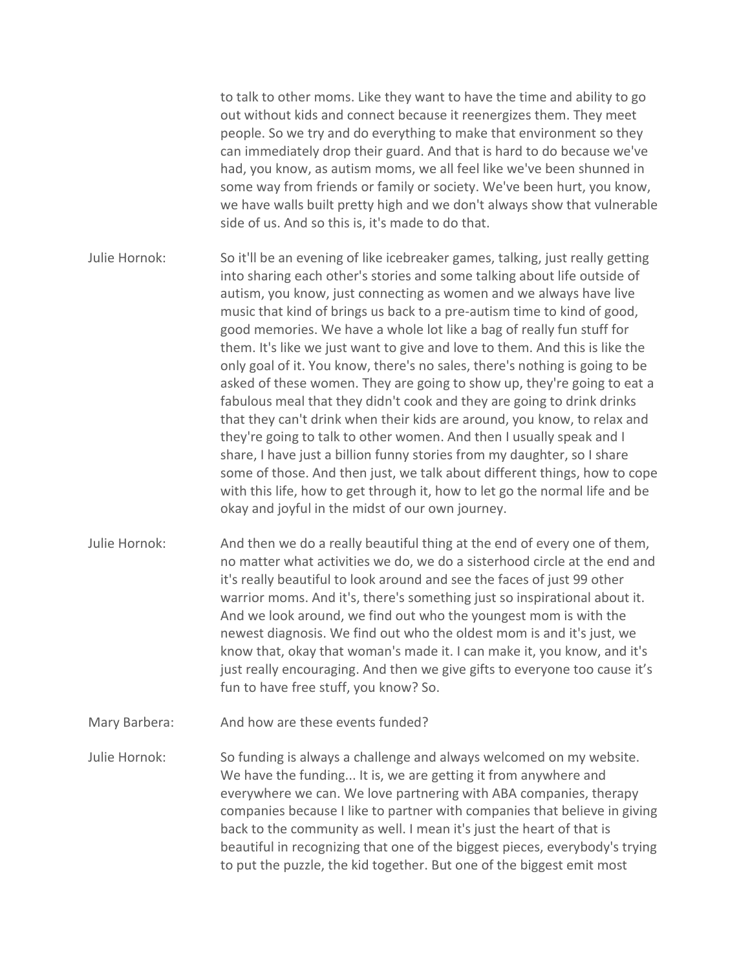to talk to other moms. Like they want to have the time and ability to go out without kids and connect because it reenergizes them. They meet people. So we try and do everything to make that environment so they can immediately drop their guard. And that is hard to do because we've had, you know, as autism moms, we all feel like we've been shunned in some way from friends or family or society. We've been hurt, you know, we have walls built pretty high and we don't always show that vulnerable side of us. And so this is, it's made to do that.

Julie Hornok: So it'll be an evening of like icebreaker games, talking, just really getting into sharing each other's stories and some talking about life outside of autism, you know, just connecting as women and we always have live music that kind of brings us back to a pre-autism time to kind of good, good memories. We have a whole lot like a bag of really fun stuff for them. It's like we just want to give and love to them. And this is like the only goal of it. You know, there's no sales, there's nothing is going to be asked of these women. They are going to show up, they're going to eat a fabulous meal that they didn't cook and they are going to drink drinks that they can't drink when their kids are around, you know, to relax and they're going to talk to other women. And then I usually speak and I share, I have just a billion funny stories from my daughter, so I share some of those. And then just, we talk about different things, how to cope with this life, how to get through it, how to let go the normal life and be okay and joyful in the midst of our own journey.

- Julie Hornok: And then we do a really beautiful thing at the end of every one of them, no matter what activities we do, we do a sisterhood circle at the end and it's really beautiful to look around and see the faces of just 99 other warrior moms. And it's, there's something just so inspirational about it. And we look around, we find out who the youngest mom is with the newest diagnosis. We find out who the oldest mom is and it's just, we know that, okay that woman's made it. I can make it, you know, and it's just really encouraging. And then we give gifts to everyone too cause it's fun to have free stuff, you know? So.
- Mary Barbera: And how are these events funded?

Julie Hornok: So funding is always a challenge and always welcomed on my website. We have the funding... It is, we are getting it from anywhere and everywhere we can. We love partnering with ABA companies, therapy companies because I like to partner with companies that believe in giving back to the community as well. I mean it's just the heart of that is beautiful in recognizing that one of the biggest pieces, everybody's trying to put the puzzle, the kid together. But one of the biggest emit most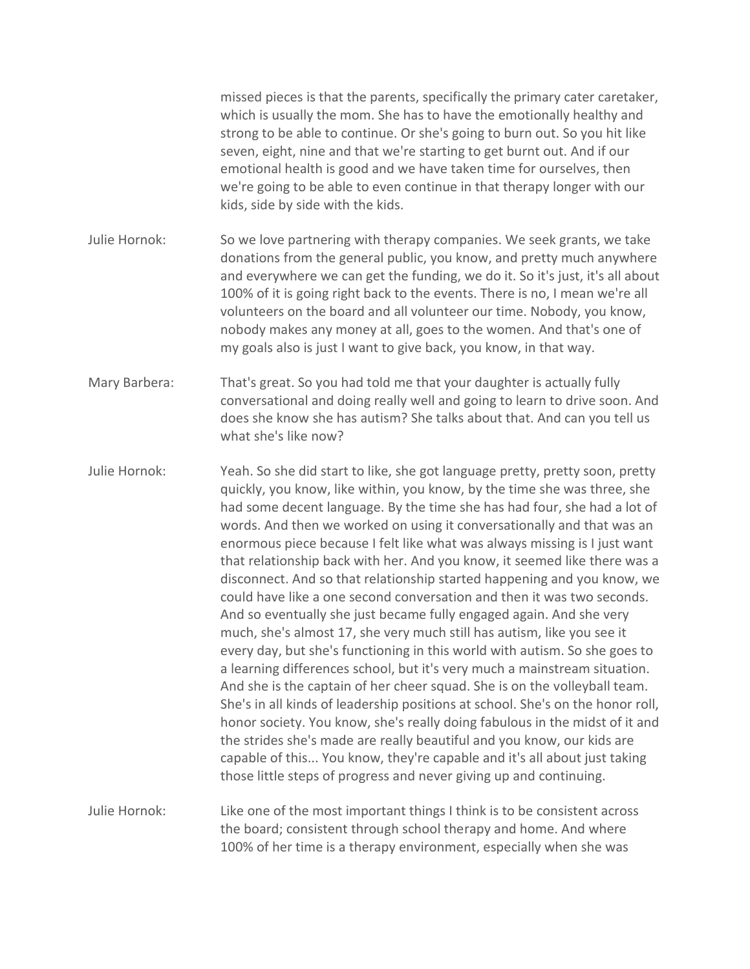missed pieces is that the parents, specifically the primary cater caretaker, which is usually the mom. She has to have the emotionally healthy and strong to be able to continue. Or she's going to burn out. So you hit like seven, eight, nine and that we're starting to get burnt out. And if our emotional health is good and we have taken time for ourselves, then we're going to be able to even continue in that therapy longer with our kids, side by side with the kids.

- Julie Hornok: So we love partnering with therapy companies. We seek grants, we take donations from the general public, you know, and pretty much anywhere and everywhere we can get the funding, we do it. So it's just, it's all about 100% of it is going right back to the events. There is no, I mean we're all volunteers on the board and all volunteer our time. Nobody, you know, nobody makes any money at all, goes to the women. And that's one of my goals also is just I want to give back, you know, in that way.
- Mary Barbera: That's great. So you had told me that your daughter is actually fully conversational and doing really well and going to learn to drive soon. And does she know she has autism? She talks about that. And can you tell us what she's like now?
- Julie Hornok: Yeah. So she did start to like, she got language pretty, pretty soon, pretty quickly, you know, like within, you know, by the time she was three, she had some decent language. By the time she has had four, she had a lot of words. And then we worked on using it conversationally and that was an enormous piece because I felt like what was always missing is I just want that relationship back with her. And you know, it seemed like there was a disconnect. And so that relationship started happening and you know, we could have like a one second conversation and then it was two seconds. And so eventually she just became fully engaged again. And she very much, she's almost 17, she very much still has autism, like you see it every day, but she's functioning in this world with autism. So she goes to a learning differences school, but it's very much a mainstream situation. And she is the captain of her cheer squad. She is on the volleyball team. She's in all kinds of leadership positions at school. She's on the honor roll, honor society. You know, she's really doing fabulous in the midst of it and the strides she's made are really beautiful and you know, our kids are capable of this... You know, they're capable and it's all about just taking those little steps of progress and never giving up and continuing.
- Julie Hornok: Like one of the most important things I think is to be consistent across the board; consistent through school therapy and home. And where 100% of her time is a therapy environment, especially when she was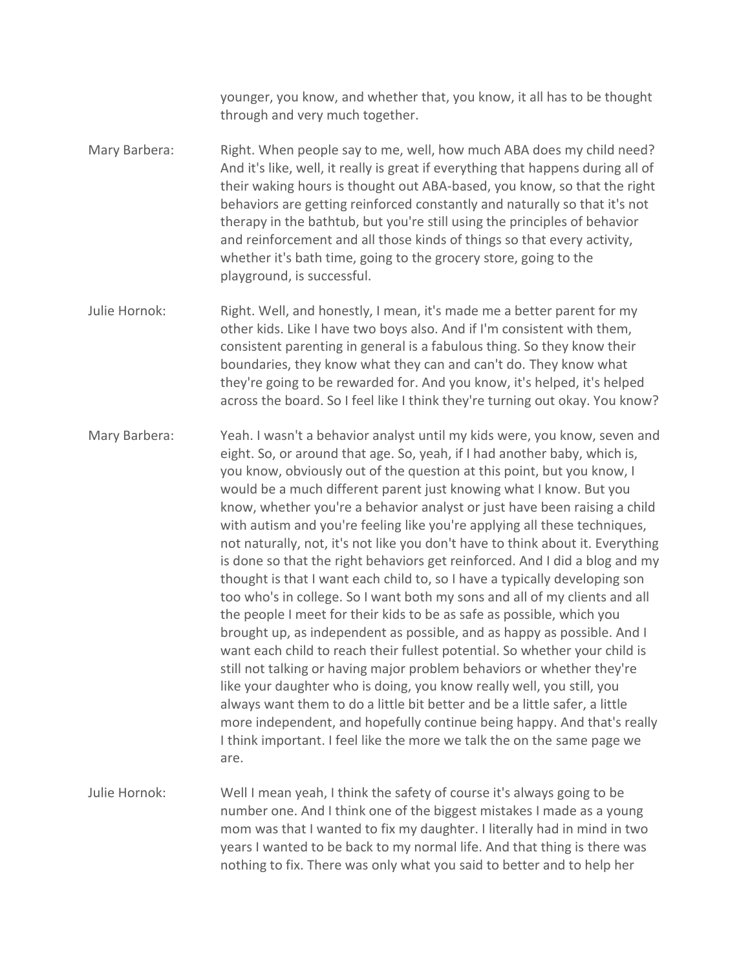younger, you know, and whether that, you know, it all has to be thought through and very much together.

Mary Barbera: Right. When people say to me, well, how much ABA does my child need? And it's like, well, it really is great if everything that happens during all of their waking hours is thought out ABA-based, you know, so that the right behaviors are getting reinforced constantly and naturally so that it's not therapy in the bathtub, but you're still using the principles of behavior and reinforcement and all those kinds of things so that every activity, whether it's bath time, going to the grocery store, going to the playground, is successful.

Julie Hornok: Right. Well, and honestly, I mean, it's made me a better parent for my other kids. Like I have two boys also. And if I'm consistent with them, consistent parenting in general is a fabulous thing. So they know their boundaries, they know what they can and can't do. They know what they're going to be rewarded for. And you know, it's helped, it's helped across the board. So I feel like I think they're turning out okay. You know?

Mary Barbera: Yeah. I wasn't a behavior analyst until my kids were, you know, seven and eight. So, or around that age. So, yeah, if I had another baby, which is, you know, obviously out of the question at this point, but you know, I would be a much different parent just knowing what I know. But you know, whether you're a behavior analyst or just have been raising a child with autism and you're feeling like you're applying all these techniques, not naturally, not, it's not like you don't have to think about it. Everything is done so that the right behaviors get reinforced. And I did a blog and my thought is that I want each child to, so I have a typically developing son too who's in college. So I want both my sons and all of my clients and all the people I meet for their kids to be as safe as possible, which you brought up, as independent as possible, and as happy as possible. And I want each child to reach their fullest potential. So whether your child is still not talking or having major problem behaviors or whether they're like your daughter who is doing, you know really well, you still, you always want them to do a little bit better and be a little safer, a little more independent, and hopefully continue being happy. And that's really I think important. I feel like the more we talk the on the same page we are.

Julie Hornok: Well I mean yeah, I think the safety of course it's always going to be number one. And I think one of the biggest mistakes I made as a young mom was that I wanted to fix my daughter. I literally had in mind in two years I wanted to be back to my normal life. And that thing is there was nothing to fix. There was only what you said to better and to help her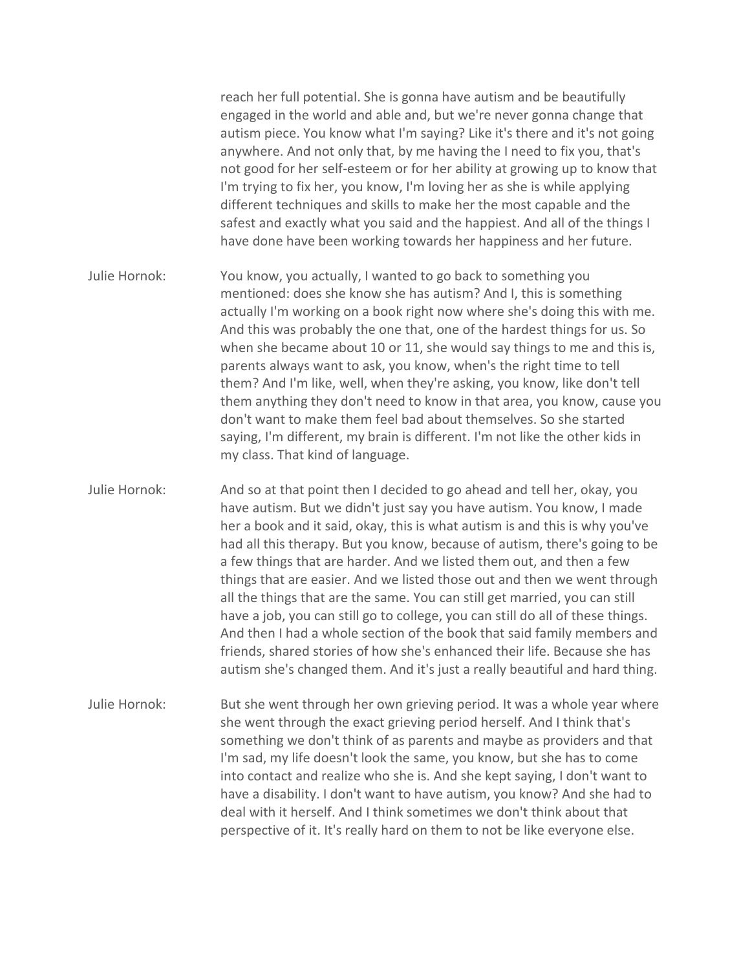reach her full potential. She is gonna have autism and be beautifully engaged in the world and able and, but we're never gonna change that autism piece. You know what I'm saying? Like it's there and it's not going anywhere. And not only that, by me having the I need to fix you, that's not good for her self-esteem or for her ability at growing up to know that I'm trying to fix her, you know, I'm loving her as she is while applying different techniques and skills to make her the most capable and the safest and exactly what you said and the happiest. And all of the things I have done have been working towards her happiness and her future.

Julie Hornok: You know, you actually, I wanted to go back to something you mentioned: does she know she has autism? And I, this is something actually I'm working on a book right now where she's doing this with me. And this was probably the one that, one of the hardest things for us. So when she became about 10 or 11, she would say things to me and this is, parents always want to ask, you know, when's the right time to tell them? And I'm like, well, when they're asking, you know, like don't tell them anything they don't need to know in that area, you know, cause you don't want to make them feel bad about themselves. So she started saying, I'm different, my brain is different. I'm not like the other kids in my class. That kind of language.

Julie Hornok: And so at that point then I decided to go ahead and tell her, okay, you have autism. But we didn't just say you have autism. You know, I made her a book and it said, okay, this is what autism is and this is why you've had all this therapy. But you know, because of autism, there's going to be a few things that are harder. And we listed them out, and then a few things that are easier. And we listed those out and then we went through all the things that are the same. You can still get married, you can still have a job, you can still go to college, you can still do all of these things. And then I had a whole section of the book that said family members and friends, shared stories of how she's enhanced their life. Because she has autism she's changed them. And it's just a really beautiful and hard thing.

Julie Hornok: But she went through her own grieving period. It was a whole year where she went through the exact grieving period herself. And I think that's something we don't think of as parents and maybe as providers and that I'm sad, my life doesn't look the same, you know, but she has to come into contact and realize who she is. And she kept saying, I don't want to have a disability. I don't want to have autism, you know? And she had to deal with it herself. And I think sometimes we don't think about that perspective of it. It's really hard on them to not be like everyone else.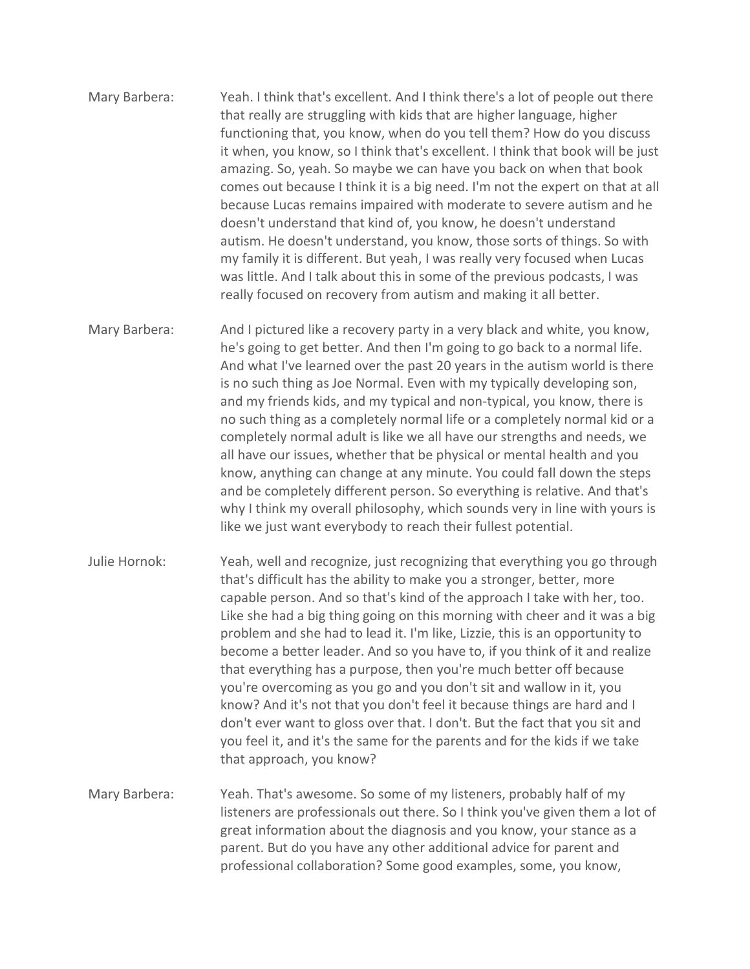- Mary Barbera: Yeah. I think that's excellent. And I think there's a lot of people out there that really are struggling with kids that are higher language, higher functioning that, you know, when do you tell them? How do you discuss it when, you know, so I think that's excellent. I think that book will be just amazing. So, yeah. So maybe we can have you back on when that book comes out because I think it is a big need. I'm not the expert on that at all because Lucas remains impaired with moderate to severe autism and he doesn't understand that kind of, you know, he doesn't understand autism. He doesn't understand, you know, those sorts of things. So with my family it is different. But yeah, I was really very focused when Lucas was little. And I talk about this in some of the previous podcasts, I was really focused on recovery from autism and making it all better.
- Mary Barbera: And I pictured like a recovery party in a very black and white, you know, he's going to get better. And then I'm going to go back to a normal life. And what I've learned over the past 20 years in the autism world is there is no such thing as Joe Normal. Even with my typically developing son, and my friends kids, and my typical and non-typical, you know, there is no such thing as a completely normal life or a completely normal kid or a completely normal adult is like we all have our strengths and needs, we all have our issues, whether that be physical or mental health and you know, anything can change at any minute. You could fall down the steps and be completely different person. So everything is relative. And that's why I think my overall philosophy, which sounds very in line with yours is like we just want everybody to reach their fullest potential.
- Julie Hornok: Yeah, well and recognize, just recognizing that everything you go through that's difficult has the ability to make you a stronger, better, more capable person. And so that's kind of the approach I take with her, too. Like she had a big thing going on this morning with cheer and it was a big problem and she had to lead it. I'm like, Lizzie, this is an opportunity to become a better leader. And so you have to, if you think of it and realize that everything has a purpose, then you're much better off because you're overcoming as you go and you don't sit and wallow in it, you know? And it's not that you don't feel it because things are hard and I don't ever want to gloss over that. I don't. But the fact that you sit and you feel it, and it's the same for the parents and for the kids if we take that approach, you know?
- Mary Barbera: Yeah. That's awesome. So some of my listeners, probably half of my listeners are professionals out there. So I think you've given them a lot of great information about the diagnosis and you know, your stance as a parent. But do you have any other additional advice for parent and professional collaboration? Some good examples, some, you know,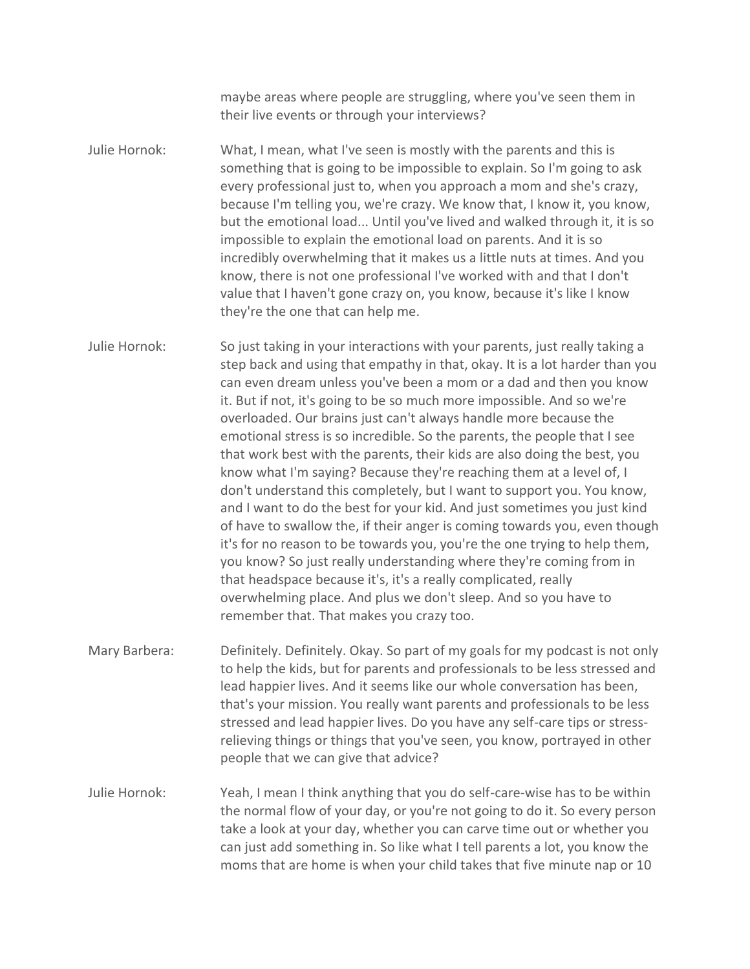maybe areas where people are struggling, where you've seen them in their live events or through your interviews?

Julie Hornok: What, I mean, what I've seen is mostly with the parents and this is something that is going to be impossible to explain. So I'm going to ask every professional just to, when you approach a mom and she's crazy, because I'm telling you, we're crazy. We know that, I know it, you know, but the emotional load... Until you've lived and walked through it, it is so impossible to explain the emotional load on parents. And it is so incredibly overwhelming that it makes us a little nuts at times. And you know, there is not one professional I've worked with and that I don't value that I haven't gone crazy on, you know, because it's like I know they're the one that can help me.

Julie Hornok: So just taking in your interactions with your parents, just really taking a step back and using that empathy in that, okay. It is a lot harder than you can even dream unless you've been a mom or a dad and then you know it. But if not, it's going to be so much more impossible. And so we're overloaded. Our brains just can't always handle more because the emotional stress is so incredible. So the parents, the people that I see that work best with the parents, their kids are also doing the best, you know what I'm saying? Because they're reaching them at a level of, I don't understand this completely, but I want to support you. You know, and I want to do the best for your kid. And just sometimes you just kind of have to swallow the, if their anger is coming towards you, even though it's for no reason to be towards you, you're the one trying to help them, you know? So just really understanding where they're coming from in that headspace because it's, it's a really complicated, really overwhelming place. And plus we don't sleep. And so you have to remember that. That makes you crazy too.

Mary Barbera: Definitely. Definitely. Okay. So part of my goals for my podcast is not only to help the kids, but for parents and professionals to be less stressed and lead happier lives. And it seems like our whole conversation has been, that's your mission. You really want parents and professionals to be less stressed and lead happier lives. Do you have any self-care tips or stressrelieving things or things that you've seen, you know, portrayed in other people that we can give that advice?

Julie Hornok: Yeah, I mean I think anything that you do self-care-wise has to be within the normal flow of your day, or you're not going to do it. So every person take a look at your day, whether you can carve time out or whether you can just add something in. So like what I tell parents a lot, you know the moms that are home is when your child takes that five minute nap or 10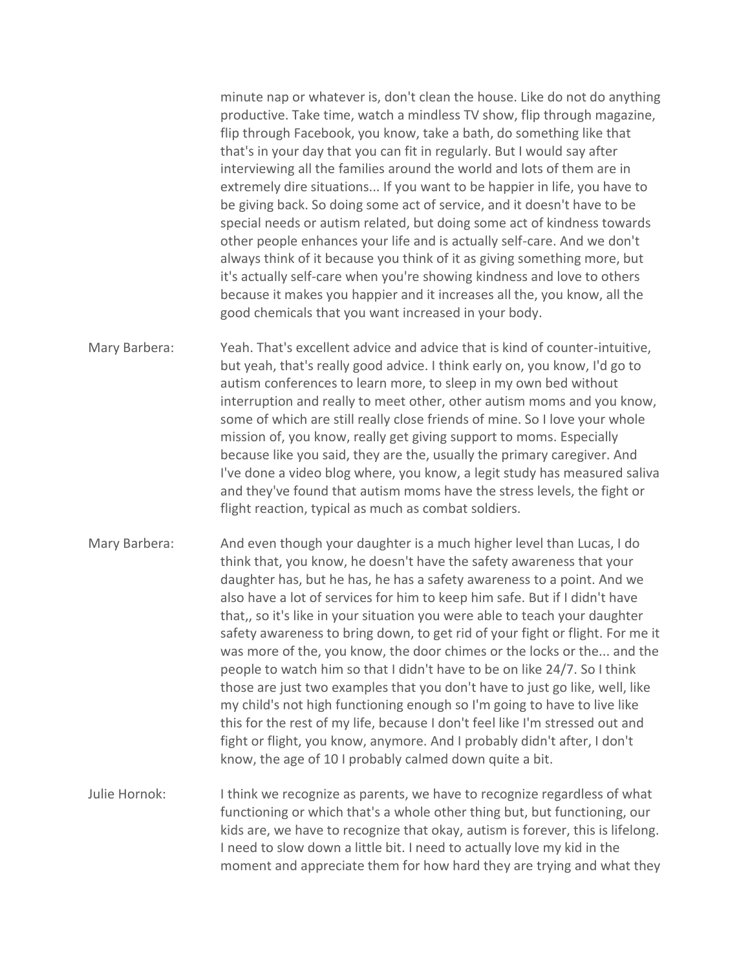minute nap or whatever is, don't clean the house. Like do not do anything productive. Take time, watch a mindless TV show, flip through magazine, flip through Facebook, you know, take a bath, do something like that that's in your day that you can fit in regularly. But I would say after interviewing all the families around the world and lots of them are in extremely dire situations... If you want to be happier in life, you have to be giving back. So doing some act of service, and it doesn't have to be special needs or autism related, but doing some act of kindness towards other people enhances your life and is actually self-care. And we don't always think of it because you think of it as giving something more, but it's actually self-care when you're showing kindness and love to others because it makes you happier and it increases all the, you know, all the good chemicals that you want increased in your body.

Mary Barbera: Yeah. That's excellent advice and advice that is kind of counter-intuitive, but yeah, that's really good advice. I think early on, you know, I'd go to autism conferences to learn more, to sleep in my own bed without interruption and really to meet other, other autism moms and you know, some of which are still really close friends of mine. So I love your whole mission of, you know, really get giving support to moms. Especially because like you said, they are the, usually the primary caregiver. And I've done a video blog where, you know, a legit study has measured saliva and they've found that autism moms have the stress levels, the fight or flight reaction, typical as much as combat soldiers.

Mary Barbera: And even though your daughter is a much higher level than Lucas, I do think that, you know, he doesn't have the safety awareness that your daughter has, but he has, he has a safety awareness to a point. And we also have a lot of services for him to keep him safe. But if I didn't have that,, so it's like in your situation you were able to teach your daughter safety awareness to bring down, to get rid of your fight or flight. For me it was more of the, you know, the door chimes or the locks or the... and the people to watch him so that I didn't have to be on like 24/7. So I think those are just two examples that you don't have to just go like, well, like my child's not high functioning enough so I'm going to have to live like this for the rest of my life, because I don't feel like I'm stressed out and fight or flight, you know, anymore. And I probably didn't after, I don't know, the age of 10 I probably calmed down quite a bit.

Julie Hornok: I think we recognize as parents, we have to recognize regardless of what functioning or which that's a whole other thing but, but functioning, our kids are, we have to recognize that okay, autism is forever, this is lifelong. I need to slow down a little bit. I need to actually love my kid in the moment and appreciate them for how hard they are trying and what they